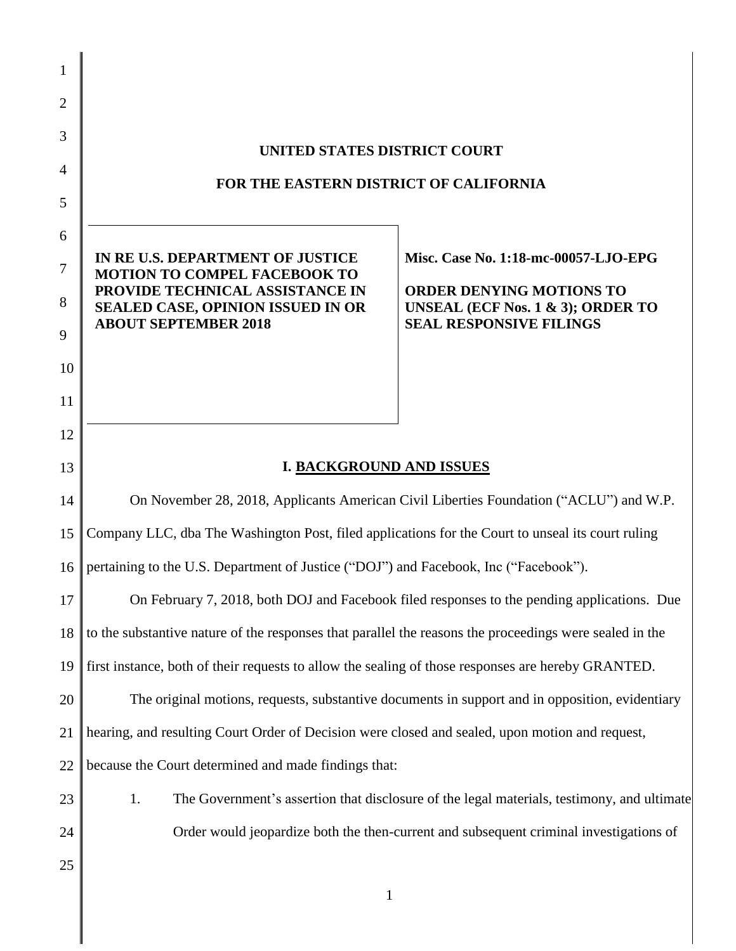| 1              |                                                                                                                                                     |
|----------------|-----------------------------------------------------------------------------------------------------------------------------------------------------|
| 2              |                                                                                                                                                     |
| 3              | UNITED STATES DISTRICT COURT                                                                                                                        |
| $\overline{4}$ | FOR THE EASTERN DISTRICT OF CALIFORNIA                                                                                                              |
| 5              |                                                                                                                                                     |
| 6              |                                                                                                                                                     |
| 7              | IN RE U.S. DEPARTMENT OF JUSTICE<br>Misc. Case No. 1:18-mc-00057-LJO-EPG<br><b>MOTION TO COMPEL FACEBOOK TO</b>                                     |
| 8              | PROVIDE TECHNICAL ASSISTANCE IN<br><b>ORDER DENYING MOTIONS TO</b><br><b>SEALED CASE, OPINION ISSUED IN OR</b><br>UNSEAL (ECF Nos. 1 & 3); ORDER TO |
| 9              | <b>ABOUT SEPTEMBER 2018</b><br><b>SEAL RESPONSIVE FILINGS</b>                                                                                       |
| 10             |                                                                                                                                                     |
| 11             |                                                                                                                                                     |
| 12             |                                                                                                                                                     |
| 13             | <b>I. BACKGROUND AND ISSUES</b>                                                                                                                     |
| 14             | On November 28, 2018, Applicants American Civil Liberties Foundation ("ACLU") and W.P.                                                              |
| 15             | Company LLC, dba The Washington Post, filed applications for the Court to unseal its court ruling                                                   |
| 16             | pertaining to the U.S. Department of Justice ("DOJ") and Facebook, Inc ("Facebook").                                                                |
| 17             | On February 7, 2018, both DOJ and Facebook filed responses to the pending applications. Due                                                         |
| 18             | to the substantive nature of the responses that parallel the reasons the proceedings were sealed in the                                             |
| 19             | first instance, both of their requests to allow the sealing of those responses are hereby GRANTED.                                                  |
| 20             | The original motions, requests, substantive documents in support and in opposition, evidentiary                                                     |
| 21             | hearing, and resulting Court Order of Decision were closed and sealed, upon motion and request,                                                     |
| 22             | because the Court determined and made findings that:                                                                                                |
| 23             | 1.<br>The Government's assertion that disclosure of the legal materials, testimony, and ultimate                                                    |
| 24             | Order would jeopardize both the then-current and subsequent criminal investigations of                                                              |
| 25             | $\mathbf{1}$                                                                                                                                        |
|                |                                                                                                                                                     |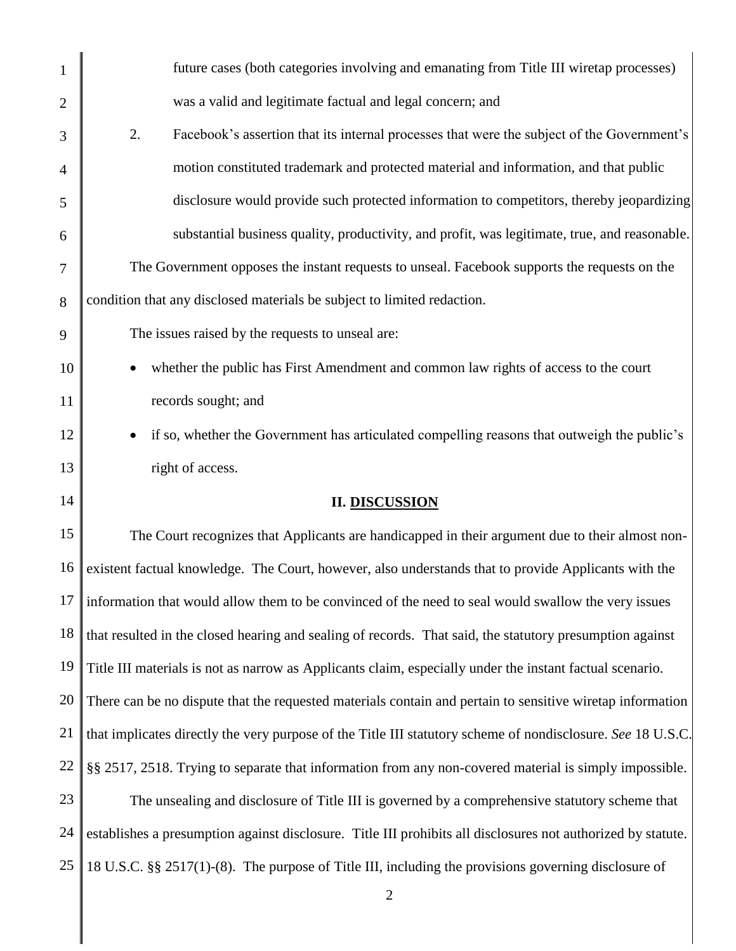| $\mathbf{1}$   | future cases (both categories involving and emanating from Title III wiretap processes)                      |
|----------------|--------------------------------------------------------------------------------------------------------------|
| $\overline{2}$ | was a valid and legitimate factual and legal concern; and                                                    |
| 3              | 2.<br>Facebook's assertion that its internal processes that were the subject of the Government's             |
| $\overline{4}$ | motion constituted trademark and protected material and information, and that public                         |
| 5              | disclosure would provide such protected information to competitors, thereby jeopardizing                     |
| 6              | substantial business quality, productivity, and profit, was legitimate, true, and reasonable.                |
| 7              | The Government opposes the instant requests to unseal. Facebook supports the requests on the                 |
| 8              | condition that any disclosed materials be subject to limited redaction.                                      |
| 9              | The issues raised by the requests to unseal are:                                                             |
| 10             | whether the public has First Amendment and common law rights of access to the court                          |
| 11             | records sought; and                                                                                          |
| 12             | if so, whether the Government has articulated compelling reasons that outweigh the public's                  |
| 13             | right of access.                                                                                             |
| 14             | <b>II. DISCUSSION</b>                                                                                        |
| 15             | The Court recognizes that Applicants are handicapped in their argument due to their almost non-              |
| 16             | existent factual knowledge. The Court, however, also understands that to provide Applicants with the         |
| 17             | information that would allow them to be convinced of the need to seal would swallow the very issues          |
| 18             | that resulted in the closed hearing and sealing of records. That said, the statutory presumption against     |
| 19             | Title III materials is not as narrow as Applicants claim, especially under the instant factual scenario.     |
| 20             | There can be no dispute that the requested materials contain and pertain to sensitive wiretap information    |
| 21             | that implicates directly the very purpose of the Title III statutory scheme of nondisclosure. See 18 U.S.C.  |
| 22             | §§ 2517, 2518. Trying to separate that information from any non-covered material is simply impossible.       |
| 23             | The unsealing and disclosure of Title III is governed by a comprehensive statutory scheme that               |
| 24             | establishes a presumption against disclosure. Title III prohibits all disclosures not authorized by statute. |
| 25             | 18 U.S.C. §§ 2517(1)-(8). The purpose of Title III, including the provisions governing disclosure of         |
|                | $\overline{2}$                                                                                               |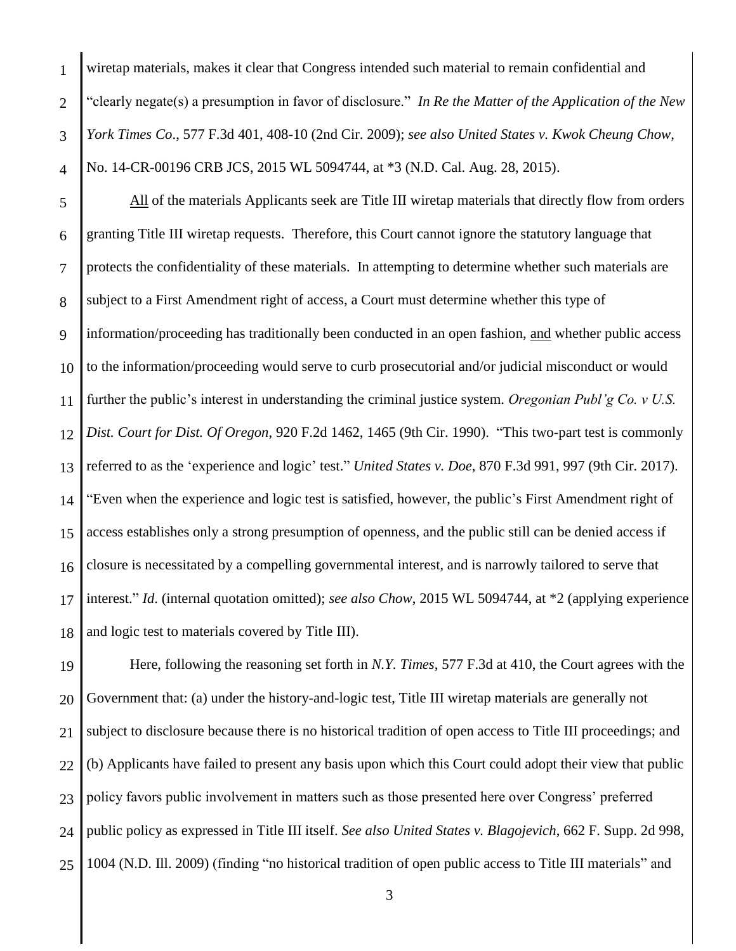1

2

wiretap materials, makes it clear that Congress intended such material to remain confidential and "clearly negate(s) a presumption in favor of disclosure." *In Re the Matter of the Application of the New York Times Co*., 577 F.3d 401, 408-10 (2nd Cir. 2009); *see also United States v. Kwok Cheung Chow*, No. 14-CR-00196 CRB JCS, 2015 WL 5094744, at \*3 (N.D. Cal. Aug. 28, 2015).

5 6 7 8 9 10 11 12 13 14 15 16 17 18 All of the materials Applicants seek are Title III wiretap materials that directly flow from orders granting Title III wiretap requests. Therefore, this Court cannot ignore the statutory language that protects the confidentiality of these materials. In attempting to determine whether such materials are subject to a First Amendment right of access, a Court must determine whether this type of information/proceeding has traditionally been conducted in an open fashion, and whether public access to the information/proceeding would serve to curb prosecutorial and/or judicial misconduct or would further the public's interest in understanding the criminal justice system. *Oregonian Publ'g Co. v U.S. Dist. Court for Dist. Of Oregon*, 920 F.2d 1462, 1465 (9th Cir. 1990). "This two-part test is commonly referred to as the 'experience and logic' test." *United States v. Doe*, 870 F.3d 991, 997 (9th Cir. 2017). "Even when the experience and logic test is satisfied, however, the public's First Amendment right of access establishes only a strong presumption of openness, and the public still can be denied access if closure is necessitated by a compelling governmental interest, and is narrowly tailored to serve that interest." *Id*. (internal quotation omitted); *see also Chow*, 2015 WL 5094744, at \*2 (applying experience and logic test to materials covered by Title III).

19 20 21 22 23 24 25 Here, following the reasoning set forth in *N.Y. Times*, 577 F.3d at 410, the Court agrees with the Government that: (a) under the history-and-logic test, Title III wiretap materials are generally not subject to disclosure because there is no historical tradition of open access to Title III proceedings; and (b) Applicants have failed to present any basis upon which this Court could adopt their view that public policy favors public involvement in matters such as those presented here over Congress' preferred public policy as expressed in Title III itself. *See also United States v. Blagojevich*, 662 F. Supp. 2d 998, 1004 (N.D. Ill. 2009) (finding "no historical tradition of open public access to Title III materials" and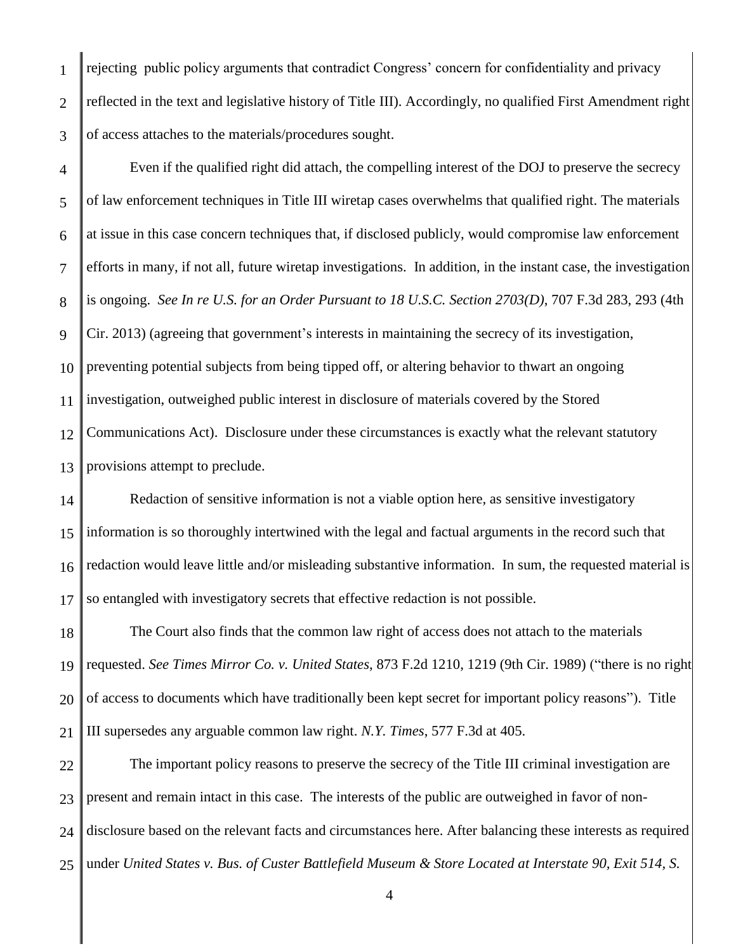1 2 3 rejecting public policy arguments that contradict Congress' concern for confidentiality and privacy reflected in the text and legislative history of Title III). Accordingly, no qualified First Amendment right of access attaches to the materials/procedures sought.

4 5 6 7 8 9 10 11 12 13 Even if the qualified right did attach, the compelling interest of the DOJ to preserve the secrecy of law enforcement techniques in Title III wiretap cases overwhelms that qualified right. The materials at issue in this case concern techniques that, if disclosed publicly, would compromise law enforcement efforts in many, if not all, future wiretap investigations. In addition, in the instant case, the investigation is ongoing. *See In re U.S. for an Order Pursuant to 18 U.S.C. Section 2703(D)*, 707 F.3d 283, 293 (4th Cir. 2013) (agreeing that government's interests in maintaining the secrecy of its investigation, preventing potential subjects from being tipped off, or altering behavior to thwart an ongoing investigation, outweighed public interest in disclosure of materials covered by the Stored Communications Act). Disclosure under these circumstances is exactly what the relevant statutory provisions attempt to preclude.

14 15 16 17 Redaction of sensitive information is not a viable option here, as sensitive investigatory information is so thoroughly intertwined with the legal and factual arguments in the record such that redaction would leave little and/or misleading substantive information. In sum, the requested material is so entangled with investigatory secrets that effective redaction is not possible.

18 19 20 21 The Court also finds that the common law right of access does not attach to the materials requested. *See Times Mirror Co. v. United States*, 873 F.2d 1210, 1219 (9th Cir. 1989) ("there is no right of access to documents which have traditionally been kept secret for important policy reasons"). Title III supersedes any arguable common law right. *N.Y. Times*, 577 F.3d at 405.

22 23 24 25 The important policy reasons to preserve the secrecy of the Title III criminal investigation are present and remain intact in this case. The interests of the public are outweighed in favor of nondisclosure based on the relevant facts and circumstances here. After balancing these interests as required under *United States v. Bus. of Custer Battlefield Museum & Store Located at Interstate 90, Exit 514, S.*